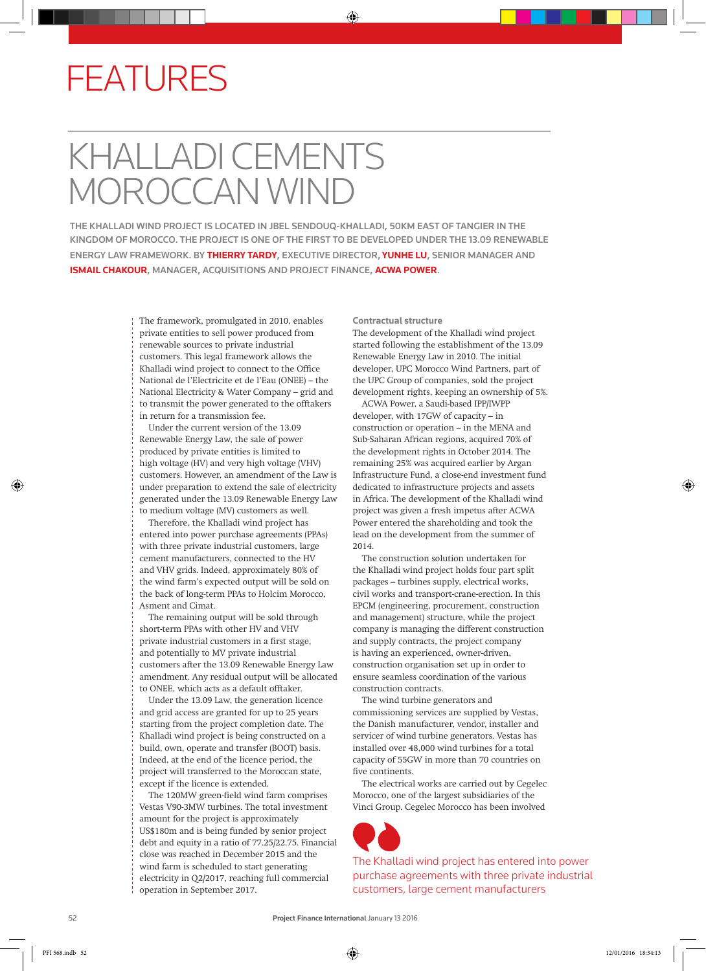## FEATURES

## KHALLADI CEMENTS **CAN WIND**

THE KHALLADI WIND PROJECT IS LOCATED IN JBEL SENDOUQ-KHALLADI, 50KM EAST OF TANGIER IN THE KINGDOM OF MOROCCO. THE PROJECT IS ONE OF THE FIRST TO BE DEVELOPED UNDER THE 13.09 RENEWABLE ENERGY LAW FRAMEWORK. BY **THIERRY TARDY**, EXECUTIVE DIRECTOR, **YUNHE LU**, SENIOR MANAGER AND **ISMAIL CHAKOUR**, MANAGER, ACQUISITIONS AND PROJECT FINANCE, **ACWA POWER**.

> The framework, promulgated in 2010, enables private entities to sell power produced from renewable sources to private industrial customers. This legal framework allows the Khalladi wind project to connect to the Office National de l'Electricite et de l'Eau (ONEE) – the National Electricity & Water Company – grid and to transmit the power generated to the offtakers in return for a transmission fee.

Under the current version of the 13.09 Renewable Energy Law, the sale of power produced by private entities is limited to high voltage (HV) and very high voltage (VHV) customers. However, an amendment of the Law is under preparation to extend the sale of electricity generated under the 13.09 Renewable Energy Law to medium voltage (MV) customers as well.

Therefore, the Khalladi wind project has entered into power purchase agreements (PPAs) with three private industrial customers, large cement manufacturers, connected to the HV and VHV grids. Indeed, approximately 80% of the wind farm's expected output will be sold on the back of long-term PPAs to Holcim Morocco, Asment and Cimat.

The remaining output will be sold through short-term PPAs with other HV and VHV private industrial customers in a first stage, and potentially to MV private industrial customers after the 13.09 Renewable Energy Law amendment. Any residual output will be allocated to ONEE, which acts as a default offtaker.

Under the 13.09 Law, the generation licence and grid access are granted for up to 25 years starting from the project completion date. The Khalladi wind project is being constructed on a build, own, operate and transfer (BOOT) basis. Indeed, at the end of the licence period, the project will transferred to the Moroccan state, except if the licence is extended.

The 120MW green-field wind farm comprises Vestas V90-3MW turbines. The total investment amount for the project is approximately US\$180m and is being funded by senior project debt and equity in a ratio of 77.25/22.75. Financial close was reached in December 2015 and the wind farm is scheduled to start generating electricity in Q2/2017, reaching full commercial operation in September 2017.

**Contractual structure**

The development of the Khalladi wind project started following the establishment of the 13.09 Renewable Energy Law in 2010. The initial developer, UPC Morocco Wind Partners, part of the UPC Group of companies, sold the project development rights, keeping an ownership of 5%.

ACWA Power, a Saudi-based IPP/IWPP developer, with 17GW of capacity – in construction or operation – in the MENA and Sub-Saharan African regions, acquired 70% of the development rights in October 2014. The remaining 25% was acquired earlier by Argan Infrastructure Fund, a close-end investment fund dedicated to infrastructure projects and assets in Africa. The development of the Khalladi wind project was given a fresh impetus after ACWA Power entered the shareholding and took the lead on the development from the summer of 2014.

The construction solution undertaken for the Khalladi wind project holds four part split packages – turbines supply, electrical works, civil works and transport-crane-erection. In this EPCM (engineering, procurement, construction and management) structure, while the project company is managing the different construction and supply contracts, the project company is having an experienced, owner-driven, construction organisation set up in order to ensure seamless coordination of the various construction contracts.

The wind turbine generators and commissioning services are supplied by Vestas, the Danish manufacturer, vendor, installer and servicer of wind turbine generators. Vestas has installed over 48,000 wind turbines for a total capacity of 55GW in more than 70 countries on five continents.

The electrical works are carried out by Cegelec Morocco, one of the largest subsidiaries of the Vinci Group. Cegelec Morocco has been involved



The Khalladi wind project has entered into power purchase agreements with three private industrial customers, large cement manufacturers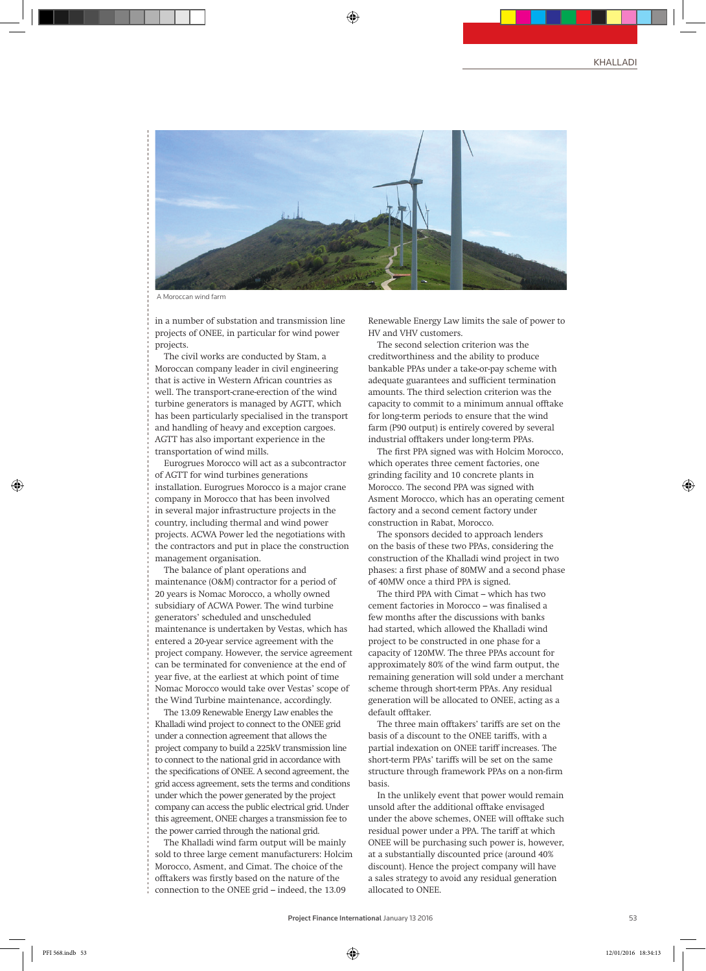

A Moroccan wind farm

in a number of substation and transmission line projects of ONEE, in particular for wind power projects.

The civil works are conducted by Stam, a Moroccan company leader in civil engineering that is active in Western African countries as well. The transport-crane-erection of the wind turbine generators is managed by AGTT, which has been particularly specialised in the transport and handling of heavy and exception cargoes. AGTT has also important experience in the transportation of wind mills.

Eurogrues Morocco will act as a subcontractor of AGTT for wind turbines generations installation. Eurogrues Morocco is a major crane company in Morocco that has been involved in several major infrastructure projects in the country, including thermal and wind power projects. ACWA Power led the negotiations with the contractors and put in place the construction management organisation.

The balance of plant operations and maintenance (O&M) contractor for a period of 20 years is Nomac Morocco, a wholly owned subsidiary of ACWA Power. The wind turbine generators' scheduled and unscheduled maintenance is undertaken by Vestas, which has entered a 20-year service agreement with the project company. However, the service agreement can be terminated for convenience at the end of year five, at the earliest at which point of time Nomac Morocco would take over Vestas' scope of the Wind Turbine maintenance, accordingly.

The 13.09 Renewable Energy Law enables the Khalladi wind project to connect to the ONEE grid under a connection agreement that allows the project company to build a 225kV transmission line to connect to the national grid in accordance with the specifications of ONEE. A second agreement, the grid access agreement, sets the terms and conditions under which the power generated by the project company can access the public electrical grid. Under this agreement, ONEE charges a transmission fee to the power carried through the national grid.

The Khalladi wind farm output will be mainly sold to three large cement manufacturers: Holcim Morocco, Asment, and Cimat. The choice of the offtakers was firstly based on the nature of the connection to the ONEE grid – indeed, the 13.09

Renewable Energy Law limits the sale of power to HV and VHV customers.

The second selection criterion was the creditworthiness and the ability to produce bankable PPAs under a take-or-pay scheme with adequate guarantees and sufficient termination amounts. The third selection criterion was the capacity to commit to a minimum annual offtake for long-term periods to ensure that the wind farm (P90 output) is entirely covered by several industrial offtakers under long-term PPAs.

The first PPA signed was with Holcim Morocco, which operates three cement factories, one grinding facility and 10 concrete plants in Morocco. The second PPA was signed with Asment Morocco, which has an operating cement factory and a second cement factory under construction in Rabat, Morocco.

The sponsors decided to approach lenders on the basis of these two PPAs, considering the construction of the Khalladi wind project in two phases: a first phase of 80MW and a second phase of 40MW once a third PPA is signed.

The third PPA with Cimat – which has two cement factories in Morocco – was finalised a few months after the discussions with banks had started, which allowed the Khalladi wind project to be constructed in one phase for a capacity of 120MW. The three PPAs account for approximately 80% of the wind farm output, the remaining generation will sold under a merchant scheme through short-term PPAs. Any residual generation will be allocated to ONEE, acting as a default offtaker.

The three main offtakers' tariffs are set on the basis of a discount to the ONEE tariffs, with a partial indexation on ONEE tariff increases. The short-term PPAs' tariffs will be set on the same structure through framework PPAs on a non-firm basis.

In the unlikely event that power would remain unsold after the additional offtake envisaged under the above schemes, ONEE will offtake such residual power under a PPA. The tariff at which ONEE will be purchasing such power is, however, at a substantially discounted price (around 40% discount). Hence the project company will have a sales strategy to avoid any residual generation allocated to ONEE.